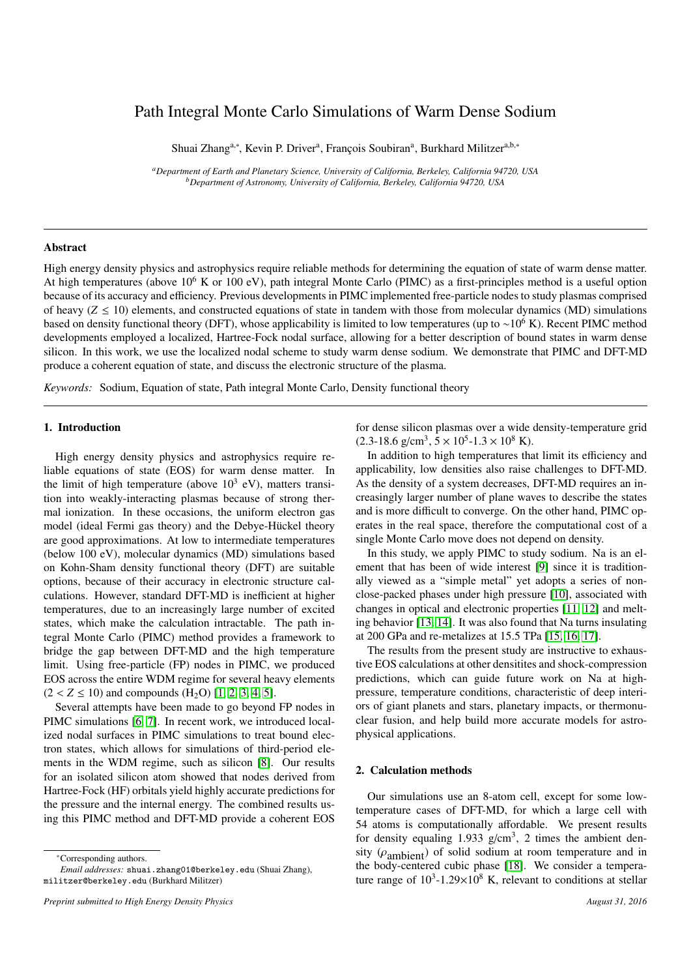# Path Integral Monte Carlo Simulations of Warm Dense Sodium

Shuai Zhang<sup>a,∗</sup>, Kevin P. Driver<sup>a</sup>, François Soubiran<sup>a</sup>, Burkhard Militzer<sup>a,b,∗</sup>

*<sup>a</sup>Department of Earth and Planetary Science, University of California, Berkeley, California 94720, USA <sup>b</sup>Department of Astronomy, University of California, Berkeley, California 94720, USA*

## Abstract

High energy density physics and astrophysics require reliable methods for determining the equation of state of warm dense matter. At high temperatures (above  $10^6$  K or  $100$  eV), path integral Monte Carlo (PIMC) as a first-principles method is a useful option because of its accuracy and efficiency. Previous developments in PIMC implemented free-particle nodes to study plasmas comprised of heavy  $(Z \le 10)$  elements, and constructed equations of state in tandem with those from molecular dynamics (MD) simulations based on density functional theory (DFT), whose applicability is limited to low temperatures (up to ∼10<sup>6</sup> K). Recent PIMC method developments employed a localized, Hartree-Fock nodal surface, allowing for a better description of bound states in warm dense silicon. In this work, we use the localized nodal scheme to study warm dense sodium. We demonstrate that PIMC and DFT-MD produce a coherent equation of state, and discuss the electronic structure of the plasma.

*Keywords:* Sodium, Equation of state, Path integral Monte Carlo, Density functional theory

# 1. Introduction

High energy density physics and astrophysics require reliable equations of state (EOS) for warm dense matter. In the limit of high temperature (above  $10^3$  eV), matters transition into weakly-interacting plasmas because of strong thermal ionization. In these occasions, the uniform electron gas model (ideal Fermi gas theory) and the Debye-Hückel theory are good approximations. At low to intermediate temperatures (below 100 eV), molecular dynamics (MD) simulations based on Kohn-Sham density functional theory (DFT) are suitable options, because of their accuracy in electronic structure calculations. However, standard DFT-MD is inefficient at higher temperatures, due to an increasingly large number of excited states, which make the calculation intractable. The path integral Monte Carlo (PIMC) method provides a framework to bridge the gap between DFT-MD and the high temperature limit. Using free-particle (FP) nodes in PIMC, we produced EOS across the entire WDM regime for several heavy elements  $(2 < Z \le 10)$  and compounds  $(H_2O)$  [\[1,](#page-3-0) [2,](#page-3-1) [3,](#page-3-2) [4,](#page-3-3) [5\]](#page-3-4).

Several attempts have been made to go beyond FP nodes in PIMC simulations [\[6,](#page-3-5) [7\]](#page-3-6). In recent work, we introduced localized nodal surfaces in PIMC simulations to treat bound electron states, which allows for simulations of third-period elements in the WDM regime, such as silicon [\[8\]](#page-3-7). Our results for an isolated silicon atom showed that nodes derived from Hartree-Fock (HF) orbitals yield highly accurate predictions for the pressure and the internal energy. The combined results using this PIMC method and DFT-MD provide a coherent EOS

<sup>∗</sup>Corresponding authors.

*Email addresses:* shuai.zhang01@berkeley.edu (Shuai Zhang), militzer@berkeley.edu (Burkhard Militzer)

for dense silicon plasmas over a wide density-temperature grid  $(2.3-18.6 \text{ g/cm}^3, 5 \times 10^5 - 1.3 \times 10^8 \text{ K})$ .<br>In addition to high temperatures the

In addition to high temperatures that limit its efficiency and applicability, low densities also raise challenges to DFT-MD. As the density of a system decreases, DFT-MD requires an increasingly larger number of plane waves to describe the states and is more difficult to converge. On the other hand, PIMC operates in the real space, therefore the computational cost of a single Monte Carlo move does not depend on density.

In this study, we apply PIMC to study sodium. Na is an element that has been of wide interest [\[9\]](#page-3-8) since it is traditionally viewed as a "simple metal" yet adopts a series of nonclose-packed phases under high pressure [\[10\]](#page-3-9), associated with changes in optical and electronic properties [\[11,](#page-3-10) [12\]](#page-3-11) and melting behavior [\[13,](#page-3-12) [14\]](#page-3-13). It was also found that Na turns insulating at 200 GPa and re-metalizes at 15.5 TPa [\[15,](#page-3-14) [16,](#page-3-15) [17\]](#page-3-16).

The results from the present study are instructive to exhaustive EOS calculations at other densitites and shock-compression predictions, which can guide future work on Na at highpressure, temperature conditions, characteristic of deep interiors of giant planets and stars, planetary impacts, or thermonuclear fusion, and help build more accurate models for astrophysical applications.

# 2. Calculation methods

Our simulations use an 8-atom cell, except for some lowtemperature cases of DFT-MD, for which a large cell with 54 atoms is computationally affordable. We present results for density equaling  $1.933$  g/cm<sup>3</sup>, 2 times the ambient density  $(\rho_{\text{ambient}})$  of solid sodium at room temperature and in the body-centered cubic phase [\[18\]](#page-3-17). We consider a temperature range of  $10^3$ -1.29×10<sup>8</sup> K, relevant to conditions at stellar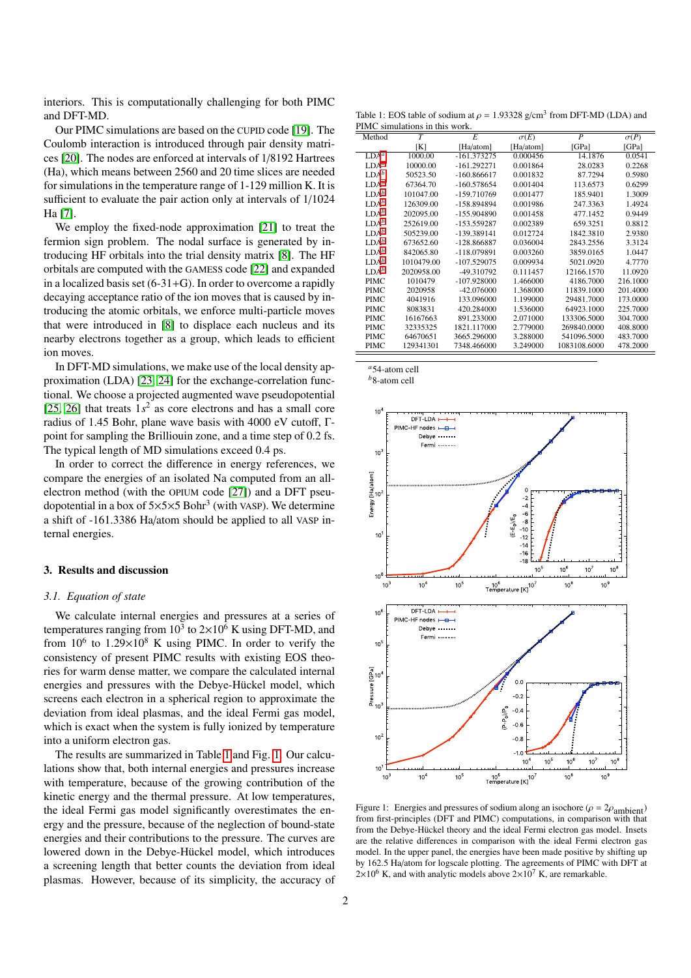interiors. This is computationally challenging for both PIMC and DFT-MD.

Our PIMC simulations are based on the CUPID code [\[19\]](#page-3-18). The Coulomb interaction is introduced through pair density matrices [\[20\]](#page-3-19). The nodes are enforced at intervals of 1/8192 Hartrees (Ha), which means between 2560 and 20 time slices are needed for simulations in the temperature range of 1-129 million K. It is sufficient to evaluate the pair action only at intervals of 1/1024 Ha [\[7\]](#page-3-6).

We employ the fixed-node approximation [\[21\]](#page-3-20) to treat the fermion sign problem. The nodal surface is generated by introducing HF orbitals into the trial density matrix [\[8\]](#page-3-7). The HF orbitals are computed with the GAMESS code [\[22\]](#page-3-21) and expanded in a localized basis set  $(6-31+G)$ . In order to overcome a rapidly decaying acceptance ratio of the ion moves that is caused by introducing the atomic orbitals, we enforce multi-particle moves that were introduced in [\[8\]](#page-3-7) to displace each nucleus and its nearby electrons together as a group, which leads to efficient ion moves.

In DFT-MD simulations, we make use of the local density approximation (LDA) [\[23,](#page-3-22) [24\]](#page-3-23) for the exchange-correlation functional. We choose a projected augmented wave pseudopotential [\[25,](#page-3-24) [26\]](#page-3-25) that treats  $1s<sup>2</sup>$  as core electrons and has a small core radius of 1.45 Bohr, plane wave basis with 4000 eV cutoff, Γpoint for sampling the Brilliouin zone, and a time step of 0.2 fs. The typical length of MD simulations exceed 0.4 ps.

In order to correct the difference in energy references, we compare the energies of an isolated Na computed from an allelectron method (with the OPIUM code [\[27\]](#page-3-26)) and a DFT pseudopotential in a box of  $5\times5\times5$  Bohr<sup>3</sup> (with VASP). We determine a shift of -161.3386 Ha/atom should be applied to all VASP internal energies.

#### 3. Results and discussion

#### <span id="page-1-4"></span>*3.1. Equation of state*

We calculate internal energies and pressures at a series of temperatures ranging from  $10^3$  to  $2\times10^6$  K using DFT-MD, and from  $10^6$  to  $1.29 \times 10^8$  K using PIMC. In order to verify the consistency of present PIMC results with existing EOS theories for warm dense matter, we compare the calculated internal energies and pressures with the Debye-Hückel model, which screens each electron in a spherical region to approximate the deviation from ideal plasmas, and the ideal Fermi gas model, which is exact when the system is fully ionized by temperature into a uniform electron gas.

The results are summarized in Table [1](#page-1-0) and Fig. [1.](#page-1-1) Our calculations show that, both internal energies and pressures increase with temperature, because of the growing contribution of the kinetic energy and the thermal pressure. At low temperatures, the ideal Fermi gas model significantly overestimates the energy and the pressure, because of the neglection of bound-state energies and their contributions to the pressure. The curves are lowered down in the Debye-Hückel model, which introduces a screening length that better counts the deviation from ideal plasmas. However, because of its simplicity, the accuracy of

<span id="page-1-0"></span>Table 1: EOS table of sodium at  $\rho = 1.93328$  g/cm<sup>3</sup> from DFT-MD (LDA) and PIMC simulations in this work PIMC simulations in this work.

| THE SHIRTHOUS III this work. |                |               |             |                |             |
|------------------------------|----------------|---------------|-------------|----------------|-------------|
| Method                       | $\overline{T}$ | E             | $\sigma(E)$ | $\overline{P}$ | $\sigma(P)$ |
|                              | [K]            | [Ha/atom]     | [Ha/atom]   | [GPa]          | [GPa]       |
| $LDA^a$                      | 1000.00        | $-161.373275$ | 0.000456    | 14.1876        | 0.0541      |
| LDA <sup>a</sup>             | 10000.00       | $-161.292271$ | 0.001864    | 28.0283        | 0.2268      |
| LDA <sup>b</sup>             | 50523.50       | $-160.866617$ | 0.001832    | 87.7294        | 0.5980      |
| LDA <sup>b</sup>             | 67364.70       | $-160.578654$ | 0.001404    | 113.6573       | 0.6299      |
| LDA <sup>b</sup>             | 101047.00      | -159.710769   | 0.001477    | 185.9401       | 1.3009      |
| LDA <sup>b</sup>             | 126309.00      | -158.894894   | 0.001986    | 247.3363       | 1.4924      |
| LDA <sup>b</sup>             | 202095.00      | -155.904890   | 0.001458    | 477.1452       | 0.9449      |
| LDA <sup>b</sup>             | 252619.00      | -153.559287   | 0.002389    | 659.3251       | 0.8812      |
| LDA <sup>b</sup>             | 505239.00      | -139.389141   | 0.012724    | 1842.3810      | 2.9380      |
| LDA <sup>b</sup>             | 673652.60      | -128.866887   | 0.036004    | 2843.2556      | 3.3124      |
| LDA <sup>b</sup>             | 842065.80      | -118.079891   | 0.003260    | 3859.0165      | 1.0447      |
| LDA <sup>b</sup>             | 1010479.00     | $-107.529075$ | 0.009934    | 5021.0920      | 4.7770      |
| LDA <sup>b</sup>             | 2020958.00     | -49.310792    | 0.111457    | 12166.1570     | 11.0920     |
| PIMC                         | 1010479        | $-107.928000$ | 1.466000    | 4186.7000      | 216.1000    |
| PIMC                         | 2020958        | $-42.076000$  | 1.368000    | 11839.1000     | 201.4000    |
| PIMC                         | 4041916        | 133.096000    | 1.199000    | 29481.7000     | 173.0000    |
| PIMC                         | 8083831        | 420.284000    | 1.536000    | 64923.1000     | 225.7000    |
| PIMC                         | 16167663       | 891.233000    | 2.071000    | 133306.5000    | 304.7000    |
| PIMC                         | 32335325       | 1821.117000   | 2.779000    | 269840.0000    | 408.8000    |
| PIMC                         | 64670651       | 3665.296000   | 3.288000    | 541096.5000    | 483.7000    |
| PIMC                         | 129341301      | 7348.466000   | 3.249000    | 1083108.6000   | 478.2000    |
|                              |                |               |             |                |             |

<span id="page-1-2"></span>*<sup>a</sup>*54-atom cell

<span id="page-1-3"></span>*<sup>b</sup>*8-atom cell



<span id="page-1-1"></span>Figure 1: Energies and pressures of sodium along an isochore ( $\rho = 2\rho_{\text{ambient}}$ ) from first-principles (DFT and PIMC) computations, in comparison with that from the Debye-Hückel theory and the ideal Fermi electron gas model. Insets are the relative differences in comparison with the ideal Fermi electron gas model. In the upper panel, the energies have been made positive by shifting up by 162.5 Ha/atom for logscale plotting. The agreements of PIMC with DFT at  $2\times10^6$  K, and with analytic models above  $2\times10^7$  K, are remarkable.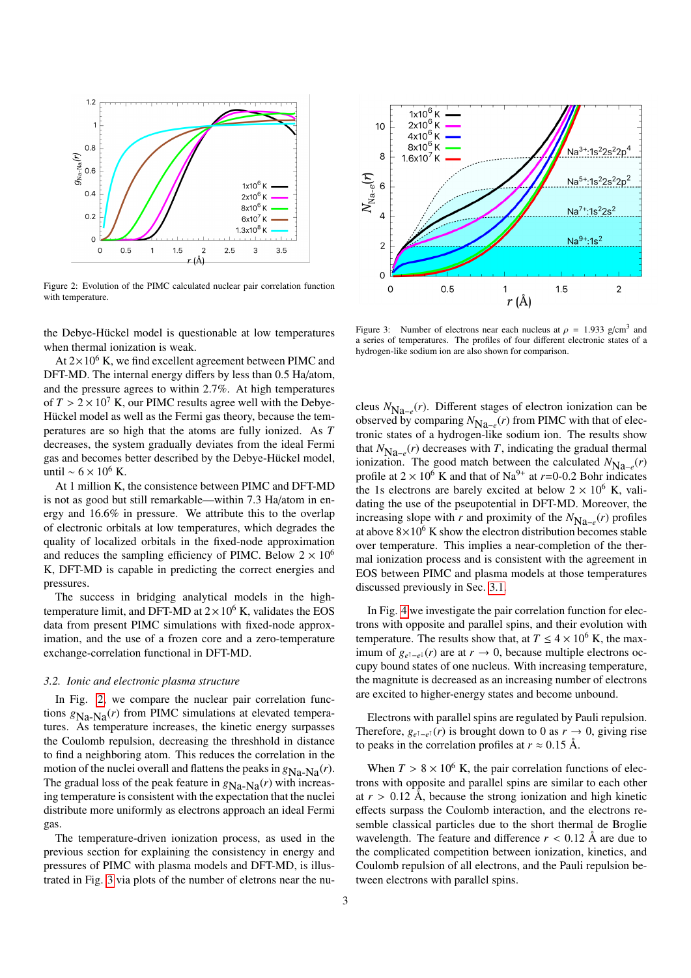

<span id="page-2-0"></span>Figure 2: Evolution of the PIMC calculated nuclear pair correlation function with temperature.

the Debye-Hückel model is questionable at low temperatures when thermal ionization is weak.

At  $2\times10^6$  K, we find excellent agreement between PIMC and DFT-MD. The internal energy differs by less than 0.5 Ha/atom, and the pressure agrees to within 2.7%. At high temperatures of  $T > 2 \times 10^7$  K, our PIMC results agree well with the Debye-Hückel model as well as the Fermi gas theory, because the temperatures are so high that the atoms are fully ionized. As *T* decreases, the system gradually deviates from the ideal Fermi gas and becomes better described by the Debye-Hückel model, until ∼ 6 × 10<sup>6</sup> K.

At 1 million K, the consistence between PIMC and DFT-MD is not as good but still remarkable—within 7.3 Ha/atom in energy and 16.6% in pressure. We attribute this to the overlap of electronic orbitals at low temperatures, which degrades the quality of localized orbitals in the fixed-node approximation and reduces the sampling efficiency of PIMC. Below  $2 \times 10^6$ K, DFT-MD is capable in predicting the correct energies and pressures.

The success in bridging analytical models in the hightemperature limit, and DFT-MD at  $2 \times 10^6$  K, validates the EOS data from present PIMC simulations with fixed-node approximation, and the use of a frozen core and a zero-temperature exchange-correlation functional in DFT-MD.

#### *3.2. Ionic and electronic plasma structure*

In Fig. [2,](#page-2-0) we compare the nuclear pair correlation functions  $g_{Na-Na}(r)$  from PIMC simulations at elevated temperatures. As temperature increases, the kinetic energy surpasses the Coulomb repulsion, decreasing the threshhold in distance to find a neighboring atom. This reduces the correlation in the motion of the nuclei overall and flattens the peaks in  $g_{N_a-N_a}(r)$ . The gradual loss of the peak feature in  $g_{Na-Na}(r)$  with increasing temperature is consistent with the expectation that the nuclei distribute more uniformly as electrons approach an ideal Fermi gas.

The temperature-driven ionization process, as used in the previous section for explaining the consistency in energy and pressures of PIMC with plasma models and DFT-MD, is illustrated in Fig. [3](#page-2-1) via plots of the number of eletrons near the nu-



<span id="page-2-1"></span>Figure 3: Number of electrons near each nucleus at  $\rho = 1.933$  g/cm<sup>3</sup> and<br>a series of temperatures. The profiles of four different electronic states of a a series of temperatures. The profiles of four different electronic states of a hydrogen-like sodium ion are also shown for comparison.

cleus *N*Na<sup>−</sup>*<sup>e</sup>* (*r*). Different stages of electron ionization can be observed by comparing  $N_{\text{Na}-e}(r)$  from PIMC with that of electronic states of a hydrogen-like sodium ion. The results show that  $N_{\text{Na}-e}(r)$  decreases with *T*, indicating the gradual thermal ionization. The good match between the calculated  $N_{\text{Na}-e}(r)$ profile at  $2 \times 10^6$  K and that of Na<sup>9+</sup> at  $r=0$ -0.2 Bohr indicates the 1s electrons are barely excited at below  $2 \times 10^6$  K, validating the use of the pseupotential in DFT-MD. Moreover, the increasing slope with *r* and proximity of the  $N_{Na-e}(r)$  profiles at above  $8\times10^6$  K show the electron distribution becomes stable over temperature. This implies a near-completion of the thermal ionization process and is consistent with the agreement in EOS between PIMC and plasma models at those temperatures discussed previously in Sec. [3.1.](#page-1-4)

In Fig. [4](#page-3-27) we investigate the pair correlation function for electrons with opposite and parallel spins, and their evolution with temperature. The results show that, at  $T \leq 4 \times 10^6$  K, the maximum of  $g_{e^{\uparrow}-e^{\downarrow}}(r)$  are at *r* → 0, because multiple electrons occupy bound states of one nucleus. With increasing temperature, the magnitute is decreased as an increasing number of electrons are excited to higher-energy states and become unbound.

Electrons with parallel spins are regulated by Pauli repulsion. Therefore,  $g_{e^{\uparrow}-e^{\uparrow}}(r)$  is brought down to 0 as  $r \to 0$ , giving rise to peaks in the correlation profiles at  $r \approx 0.15$  Å.

When  $T > 8 \times 10^6$  K, the pair correlation functions of electrons with opposite and parallel spins are similar to each other at  $r > 0.12$  Å, because the strong ionization and high kinetic effects surpass the Coulomb interaction, and the electrons resemble classical particles due to the short thermal de Broglie wavelength. The feature and difference  $r < 0.12$  Å are due to the complicated competition between ionization, kinetics, and Coulomb repulsion of all electrons, and the Pauli repulsion between electrons with parallel spins.